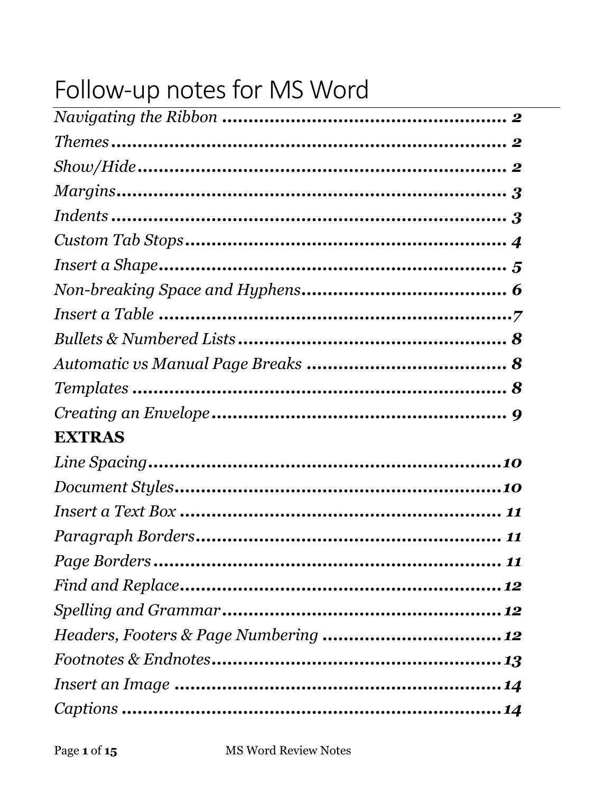# Follow-up notes for MS Word

| <b>EXTRAS</b>                                                                                                                                                                                                                                                                                                                                                                                                                                                                                                     |  |
|-------------------------------------------------------------------------------------------------------------------------------------------------------------------------------------------------------------------------------------------------------------------------------------------------------------------------------------------------------------------------------------------------------------------------------------------------------------------------------------------------------------------|--|
|                                                                                                                                                                                                                                                                                                                                                                                                                                                                                                                   |  |
|                                                                                                                                                                                                                                                                                                                                                                                                                                                                                                                   |  |
|                                                                                                                                                                                                                                                                                                                                                                                                                                                                                                                   |  |
|                                                                                                                                                                                                                                                                                                                                                                                                                                                                                                                   |  |
|                                                                                                                                                                                                                                                                                                                                                                                                                                                                                                                   |  |
|                                                                                                                                                                                                                                                                                                                                                                                                                                                                                                                   |  |
|                                                                                                                                                                                                                                                                                                                                                                                                                                                                                                                   |  |
|                                                                                                                                                                                                                                                                                                                                                                                                                                                                                                                   |  |
| $\textit{Footnotes}\ \&\ \textit{Endnotes}\ \textcolor{red}{\textbf{.}}\ \textcolor{red}{\textbf{.}}\ \textcolor{red}{\textbf{.}}\ \textcolor{red}{\textbf{.}}\ \textcolor{red}{\textbf{.}}\ \textcolor{red}{\textbf{.}}\ \textcolor{red}{\textbf{.}}\ \textcolor{red}{\textbf{.}}\ \textcolor{red}{\textbf{.}}\ \textcolor{red}{\textbf{.}}\ \textcolor{red}{\textbf{.}}\ \textcolor{red}{\textbf{.}}\ \textcolor{red}{\textbf{.}}\ \textcolor{red}{\textbf{.}}\ \textcolor{red}{\textbf{.}}\ \textcolor{red}{\$ |  |
|                                                                                                                                                                                                                                                                                                                                                                                                                                                                                                                   |  |
|                                                                                                                                                                                                                                                                                                                                                                                                                                                                                                                   |  |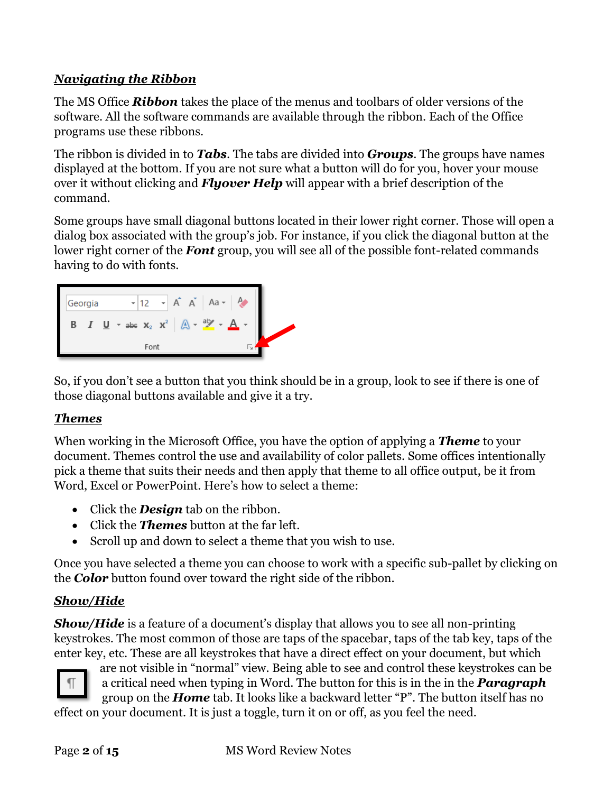# <span id="page-1-0"></span>*Navigating the Ribbon*

The MS Office *Ribbon* takes the place of the menus and toolbars of older versions of the software. All the software commands are available through the ribbon. Each of the Office programs use these ribbons.

The ribbon is divided in to *Tabs*. The tabs are divided into *Groups*. The groups have names displayed at the bottom. If you are not sure what a button will do for you, hover your mouse over it without clicking and *Flyover Help* will appear with a brief description of the command.

Some groups have small diagonal buttons located in their lower right corner. Those will open a dialog box associated with the group's job. For instance, if you click the diagonal button at the lower right corner of the *Font* group, you will see all of the possible font-related commands having to do with fonts.



So, if you don't see a button that you think should be in a group, look to see if there is one of those diagonal buttons available and give it a try.

### <span id="page-1-1"></span>*Themes*

When working in the Microsoft Office, you have the option of applying a *Theme* to your document. Themes control the use and availability of color pallets. Some offices intentionally pick a theme that suits their needs and then apply that theme to all office output, be it from Word, Excel or PowerPoint. Here's how to select a theme:

- Click the *Design* tab on the ribbon.
- Click the *Themes* button at the far left.
- Scroll up and down to select a theme that you wish to use.

Once you have selected a theme you can choose to work with a specific sub-pallet by clicking on the *Color* button found over toward the right side of the ribbon.

### <span id="page-1-2"></span>*Show/Hide*

*Show/Hide* is a feature of a document's display that allows you to see all non-printing keystrokes. The most common of those are taps of the spacebar, taps of the tab key, taps of the enter key, etc. These are all keystrokes that have a direct effect on your document, but which



are not visible in "normal" view. Being able to see and control these keystrokes can be a critical need when typing in Word. The button for this is in the in the **Paragraph** group on the *Home* tab. It looks like a backward letter "P". The button itself has no

effect on your document. It is just a toggle, turn it on or off, as you feel the need.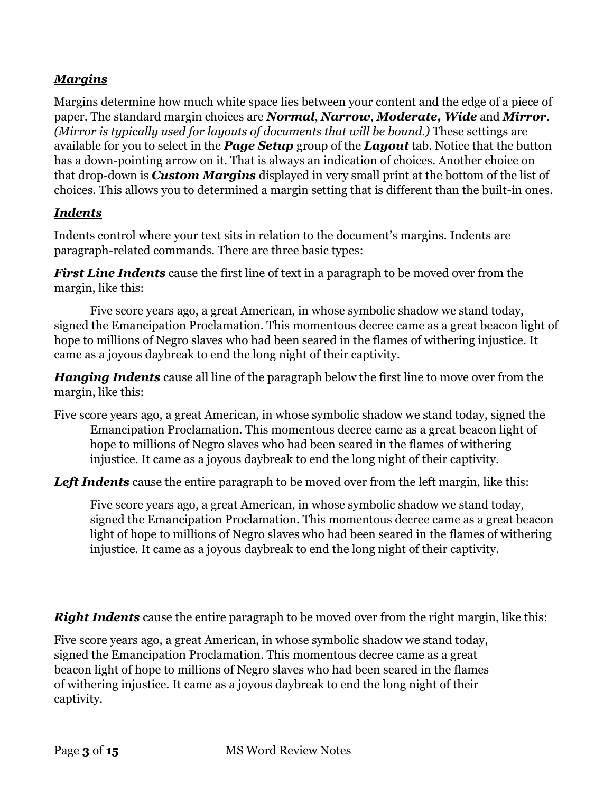### <span id="page-2-0"></span>*Margins*

Margins determine how much white space lies between your content and the edge of a piece of paper. The standard margin choices are *Normal*, *Narrow*, *Moderate, Wide* and *Mirror*. *(Mirror is typically used for layouts of documents that will be bound.)* These settings are available for you to select in the *Page Setup* group of the *Layout* tab. Notice that the button has a down-pointing arrow on it. That is always an indication of choices. Another choice on that drop-down is *Custom Margins* displayed in very small print at the bottom of the list of choices. This allows you to determined a margin setting that is different than the built-in ones.

#### <span id="page-2-1"></span>*Indents*

Indents control where your text sits in relation to the document's margins. Indents are paragraph-related commands. There are three basic types:

*First Line Indents* cause the first line of text in a paragraph to be moved over from the margin, like this:

Five score years ago, a great American, in whose symbolic shadow we stand today, signed the Emancipation Proclamation. This momentous decree came as a great beacon light of hope to millions of Negro slaves who had been seared in the flames of withering injustice. It came as a joyous daybreak to end the long night of their captivity.

*Hanging Indents* cause all line of the paragraph below the first line to move over from the margin, like this:

Five score years ago, a great American, in whose symbolic shadow we stand today, signed the Emancipation Proclamation. This momentous decree came as a great beacon light of hope to millions of Negro slaves who had been seared in the flames of withering injustice. It came as a joyous daybreak to end the long night of their captivity.

**Left Indents** cause the entire paragraph to be moved over from the left margin, like this:

Five score years ago, a great American, in whose symbolic shadow we stand today, signed the Emancipation Proclamation. This momentous decree came as a great beacon light of hope to millions of Negro slaves who had been seared in the flames of withering injustice. It came as a joyous daybreak to end the long night of their captivity.

*Right Indents* cause the entire paragraph to be moved over from the right margin, like this:

Five score years ago, a great American, in whose symbolic shadow we stand today, signed the Emancipation Proclamation. This momentous decree came as a great beacon light of hope to millions of Negro slaves who had been seared in the flames of withering injustice. It came as a joyous daybreak to end the long night of their captivity.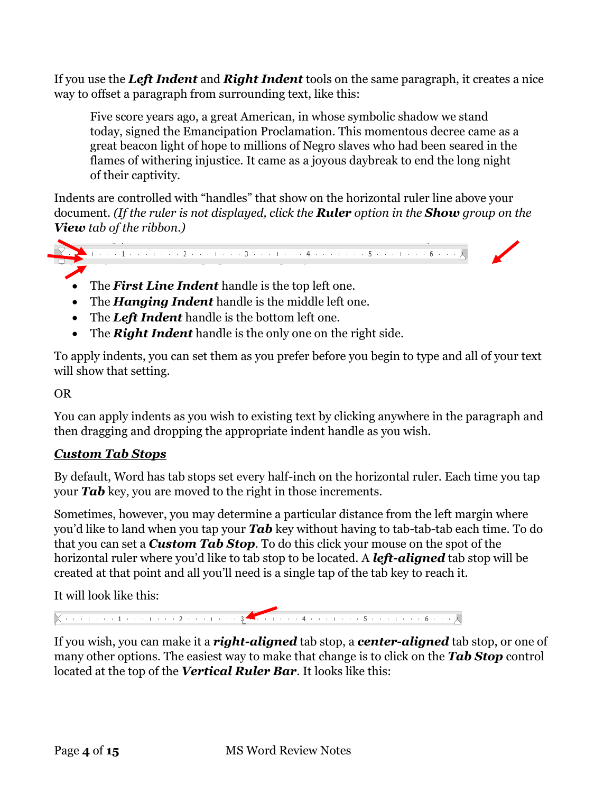If you use the *Left Indent* and *Right Indent* tools on the same paragraph, it creates a nice way to offset a paragraph from surrounding text, like this:

Five score years ago, a great American, in whose symbolic shadow we stand today, signed the Emancipation Proclamation. This momentous decree came as a great beacon light of hope to millions of Negro slaves who had been seared in the flames of withering injustice. It came as a joyous daybreak to end the long night of their captivity.

Indents are controlled with "handles" that show on the horizontal ruler line above your document. *(If the ruler is not displayed, click the Ruler option in the Show group on the View tab of the ribbon.)*



- The *First Line Indent* handle is the top left one.
- The *Hanging Indent* handle is the middle left one.
- The *Left Indent* handle is the bottom left one.
- The *Right Indent* handle is the only one on the right side.

To apply indents, you can set them as you prefer before you begin to type and all of your text will show that setting.

OR

You can apply indents as you wish to existing text by clicking anywhere in the paragraph and then dragging and dropping the appropriate indent handle as you wish.

# <span id="page-3-0"></span>*Custom Tab Stops*

By default, Word has tab stops set every half-inch on the horizontal ruler. Each time you tap your *Tab* key, you are moved to the right in those increments.

Sometimes, however, you may determine a particular distance from the left margin where you'd like to land when you tap your *Tab* key without having to tab-tab-tab each time. To do that you can set a *Custom Tab Stop*. To do this click your mouse on the spot of the horizontal ruler where you'd like to tab stop to be located. A *left-aligned* tab stop will be created at that point and all you'll need is a single tap of the tab key to reach it.

It will look like this:

If you wish, you can make it a *right-aligned* tab stop, a *center-aligned* tab stop, or one of many other options. The easiest way to make that change is to click on the *Tab Stop* control located at the top of the *Vertical Ruler Bar*. It looks like this: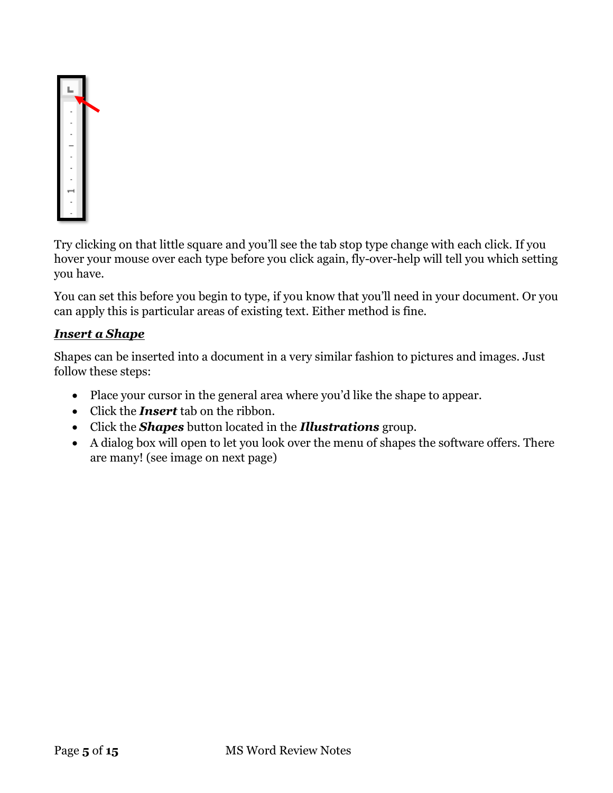

Try clicking on that little square and you'll see the tab stop type change with each click. If you hover your mouse over each type before you click again, fly-over-help will tell you which setting you have.

You can set this before you begin to type, if you know that you'll need in your document. Or you can apply this is particular areas of existing text. Either method is fine.

### <span id="page-4-0"></span>*Insert a Shape*

Shapes can be inserted into a document in a very similar fashion to pictures and images. Just follow these steps:

- Place your cursor in the general area where you'd like the shape to appear.
- Click the *Insert* tab on the ribbon.
- Click the *Shapes* button located in the *Illustrations* group.
- A dialog box will open to let you look over the menu of shapes the software offers. There are many! (see image on next page)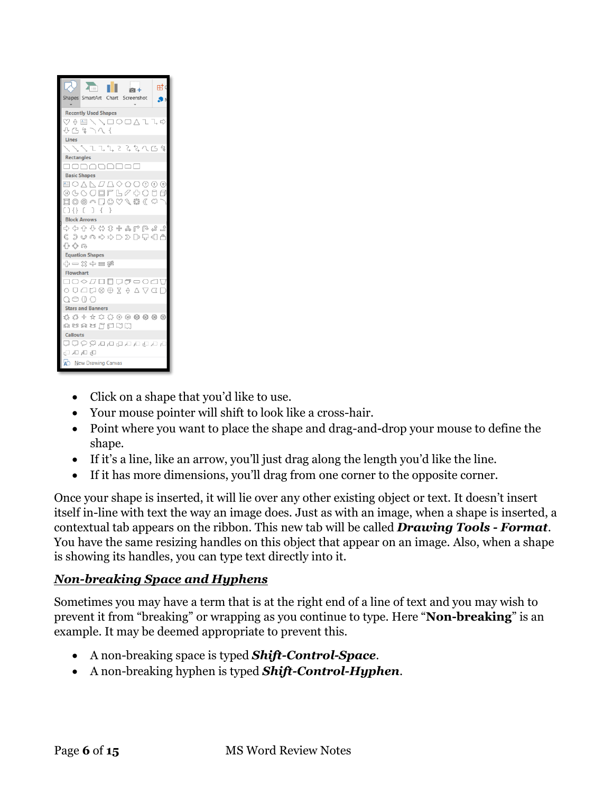|                                                                                                                                                                                                                                                                                                                                                                                                                                                                                                                                                                                                                                                                                                                                                                    | $\sqrt{1}$                  |  | 向+ |  | 时d |
|--------------------------------------------------------------------------------------------------------------------------------------------------------------------------------------------------------------------------------------------------------------------------------------------------------------------------------------------------------------------------------------------------------------------------------------------------------------------------------------------------------------------------------------------------------------------------------------------------------------------------------------------------------------------------------------------------------------------------------------------------------------------|-----------------------------|--|----|--|----|
| Shapes SmartArt Chart Screenshot                                                                                                                                                                                                                                                                                                                                                                                                                                                                                                                                                                                                                                                                                                                                   |                             |  |    |  | ۰۱ |
|                                                                                                                                                                                                                                                                                                                                                                                                                                                                                                                                                                                                                                                                                                                                                                    | <b>Recently Used Shapes</b> |  |    |  |    |
| $\heartsuit\looparrowright{\qquad \qquad } \heartsuit\looparrowright{\qquad \qquad } \heartsuit\looparrowright{\qquad \qquad } \heartsuit\rightarrow\heartsuit\rightarrow\heartsuit\rightarrow\heartsuit\rightarrow\heartsuit\rightarrow\heartsuit\rightarrow\heartsuit\rightarrow\heartsuit\rightarrow\heartsuit\rightarrow\heartsuit\rightarrow\heartsuit\rightarrow\heartsuit\rightarrow\heartsuit\rightarrow\heartsuit\rightarrow\heartsuit\rightarrow\heartsuit\rightarrow\heartsuit\rightarrow\heartsuit\rightarrow\heartsuit\rightarrow\heartsuit\rightarrow\heartsuit\rightarrow\heartsuit\rightarrow\heartsuit\rightarrow\heartsuit\rightarrow\heartsuit\rightarrow\heartsuit\rightarrow\heartsuit\rightarrow\heartsuit\rightarrow\heartsuit\rightarrow\$ |                             |  |    |  |    |
| ひにゅつへく                                                                                                                                                                                                                                                                                                                                                                                                                                                                                                                                                                                                                                                                                                                                                             |                             |  |    |  |    |
| Lines                                                                                                                                                                                                                                                                                                                                                                                                                                                                                                                                                                                                                                                                                                                                                              |                             |  |    |  |    |
|                                                                                                                                                                                                                                                                                                                                                                                                                                                                                                                                                                                                                                                                                                                                                                    | ヽヽヽヿヿヿヿヽヿゟヽヿゟ゚゚゚゚゚゚゚゚ヽ      |  |    |  |    |
| <b>Rectangles</b>                                                                                                                                                                                                                                                                                                                                                                                                                                                                                                                                                                                                                                                                                                                                                  |                             |  |    |  |    |
| 888888888                                                                                                                                                                                                                                                                                                                                                                                                                                                                                                                                                                                                                                                                                                                                                          |                             |  |    |  |    |
| <b>Basic Shapes</b>                                                                                                                                                                                                                                                                                                                                                                                                                                                                                                                                                                                                                                                                                                                                                |                             |  |    |  |    |
| <b>国○△N<i>口</i>△◇</b> ○○⊙⊙◎                                                                                                                                                                                                                                                                                                                                                                                                                                                                                                                                                                                                                                                                                                                                        |                             |  |    |  |    |
| @GOOOFB0\$000                                                                                                                                                                                                                                                                                                                                                                                                                                                                                                                                                                                                                                                                                                                                                      |                             |  |    |  |    |
| □◎◎△□◎◇◇◎○□                                                                                                                                                                                                                                                                                                                                                                                                                                                                                                                                                                                                                                                                                                                                                        |                             |  |    |  |    |
| $[1 \{ 1 \} \{ 1 \} \{ 1 \}$                                                                                                                                                                                                                                                                                                                                                                                                                                                                                                                                                                                                                                                                                                                                       |                             |  |    |  |    |
| <b>Block Arrows</b>                                                                                                                                                                                                                                                                                                                                                                                                                                                                                                                                                                                                                                                                                                                                                |                             |  |    |  |    |
| たんかかんなもうけんさ                                                                                                                                                                                                                                                                                                                                                                                                                                                                                                                                                                                                                                                                                                                                                        |                             |  |    |  |    |
| € ⊃ いゅゆめD ▷ ▷ 宁 ╣ ↑<br>←⇔ ∩                                                                                                                                                                                                                                                                                                                                                                                                                                                                                                                                                                                                                                                                                                                                        |                             |  |    |  |    |
|                                                                                                                                                                                                                                                                                                                                                                                                                                                                                                                                                                                                                                                                                                                                                                    | <b>Equation Shapes</b>      |  |    |  |    |
| ╬╺╳≑ᆯ                                                                                                                                                                                                                                                                                                                                                                                                                                                                                                                                                                                                                                                                                                                                                              |                             |  |    |  |    |
| <b>Flowchart</b>                                                                                                                                                                                                                                                                                                                                                                                                                                                                                                                                                                                                                                                                                                                                                   |                             |  |    |  |    |
| <b>□○◇<i>□</i>□□○●○○△</b> □                                                                                                                                                                                                                                                                                                                                                                                                                                                                                                                                                                                                                                                                                                                                        |                             |  |    |  |    |
|                                                                                                                                                                                                                                                                                                                                                                                                                                                                                                                                                                                                                                                                                                                                                                    |                             |  |    |  |    |
| O O O O                                                                                                                                                                                                                                                                                                                                                                                                                                                                                                                                                                                                                                                                                                                                                            |                             |  |    |  |    |
|                                                                                                                                                                                                                                                                                                                                                                                                                                                                                                                                                                                                                                                                                                                                                                    | <b>Stars and Banners</b>    |  |    |  |    |
| 赤森 事典のなうな ケイカ                                                                                                                                                                                                                                                                                                                                                                                                                                                                                                                                                                                                                                                                                                                                                      |                             |  |    |  |    |
| asaw FEOO                                                                                                                                                                                                                                                                                                                                                                                                                                                                                                                                                                                                                                                                                                                                                          |                             |  |    |  |    |
| <b>Callouts</b>                                                                                                                                                                                                                                                                                                                                                                                                                                                                                                                                                                                                                                                                                                                                                    |                             |  |    |  |    |
| 다 다 다 다 다 다 다 다 오 오 다 다                                                                                                                                                                                                                                                                                                                                                                                                                                                                                                                                                                                                                                                                                                                                            |                             |  |    |  |    |
| 마마나다                                                                                                                                                                                                                                                                                                                                                                                                                                                                                                                                                                                                                                                                                                                                                               |                             |  |    |  |    |
| A New Drawing Canvas                                                                                                                                                                                                                                                                                                                                                                                                                                                                                                                                                                                                                                                                                                                                               |                             |  |    |  |    |

- Click on a shape that you'd like to use.
- Your mouse pointer will shift to look like a cross-hair.
- Point where you want to place the shape and drag-and-drop your mouse to define the shape.
- If it's a line, like an arrow, you'll just drag along the length you'd like the line.
- If it has more dimensions, you'll drag from one corner to the opposite corner.

Once your shape is inserted, it will lie over any other existing object or text. It doesn't insert itself in-line with text the way an image does. Just as with an image, when a shape is inserted, a contextual tab appears on the ribbon. This new tab will be called *Drawing Tools - Format*. You have the same resizing handles on this object that appear on an image. Also, when a shape is showing its handles, you can type text directly into it.

### <span id="page-5-0"></span>*Non-breaking Space and Hyphens*

Sometimes you may have a term that is at the right end of a line of text and you may wish to prevent it from "breaking" or wrapping as you continue to type. Here "**Non-breaking**" is an example. It may be deemed appropriate to prevent this.

- A non-breaking space is typed *Shift-Control-Space*.
- A non-breaking hyphen is typed *Shift-Control-Hyphen*.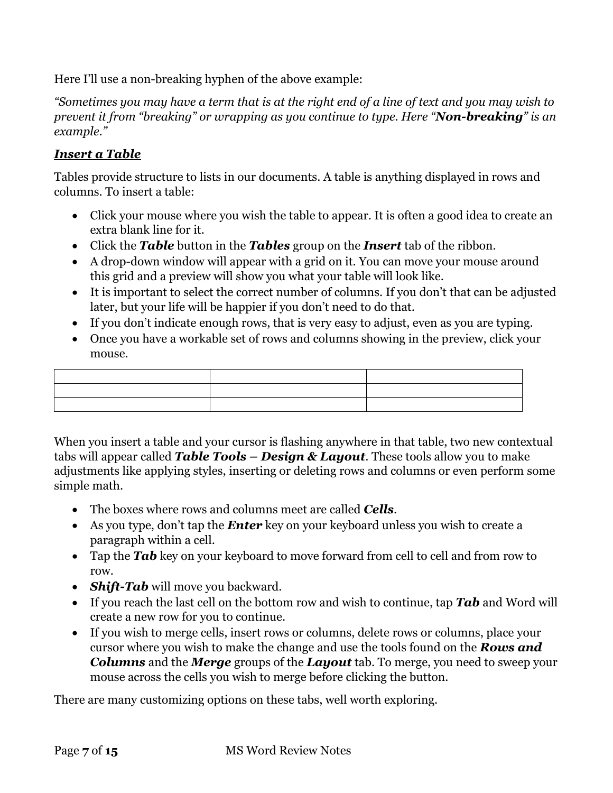Here I'll use a non-breaking hyphen of the above example:

*"Sometimes you may have a term that is at the right end of a line of text and you may wish to prevent it from "breaking" or wrapping as you continue to type. Here "Non-breaking" is an example."*

### <span id="page-6-0"></span>*Insert a Table*

Tables provide structure to lists in our documents. A table is anything displayed in rows and columns. To insert a table:

- Click your mouse where you wish the table to appear. It is often a good idea to create an extra blank line for it.
- Click the *Table* button in the *Tables* group on the *Insert* tab of the ribbon.
- A drop-down window will appear with a grid on it. You can move your mouse around this grid and a preview will show you what your table will look like.
- It is important to select the correct number of columns. If you don't that can be adjusted later, but your life will be happier if you don't need to do that.
- If you don't indicate enough rows, that is very easy to adjust, even as you are typing.
- Once you have a workable set of rows and columns showing in the preview, click your mouse.

When you insert a table and your cursor is flashing anywhere in that table, two new contextual tabs will appear called *Table Tools – Design & Layout*. These tools allow you to make adjustments like applying styles, inserting or deleting rows and columns or even perform some simple math.

- The boxes where rows and columns meet are called *Cells*.
- As you type, don't tap the *Enter* key on your keyboard unless you wish to create a paragraph within a cell.
- Tap the **Tab** key on your keyboard to move forward from cell to cell and from row to row.
- *Shift-Tab* will move you backward.
- If you reach the last cell on the bottom row and wish to continue, tap *Tab* and Word will create a new row for you to continue.
- If you wish to merge cells, insert rows or columns, delete rows or columns, place your cursor where you wish to make the change and use the tools found on the *Rows and Columns* and the *Merge* groups of the *Layout* tab. To merge, you need to sweep your mouse across the cells you wish to merge before clicking the button.

There are many customizing options on these tabs, well worth exploring.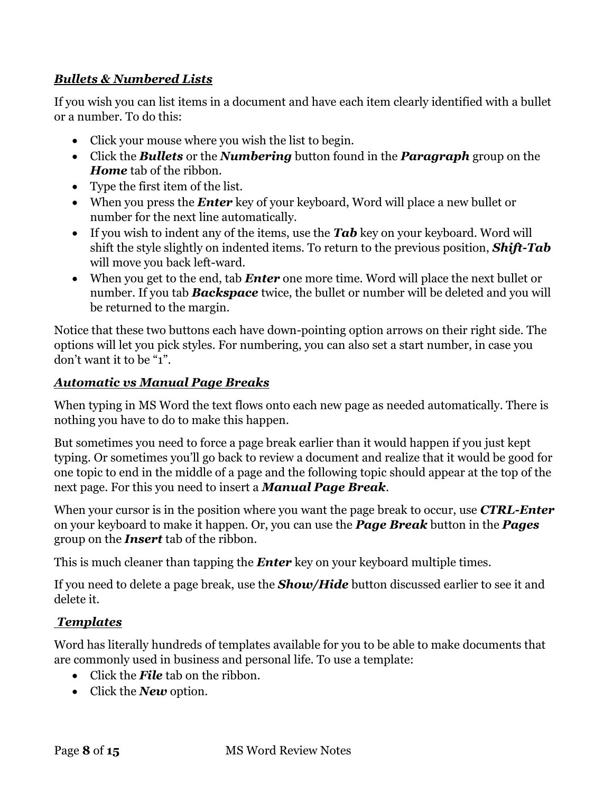### <span id="page-7-0"></span>*Bullets & Numbered Lists*

If you wish you can list items in a document and have each item clearly identified with a bullet or a number. To do this:

- Click your mouse where you wish the list to begin.
- Click the *Bullets* or the *Numbering* button found in the *Paragraph* group on the *Home* tab of the ribbon.
- Type the first item of the list.
- When you press the *Enter* key of your keyboard, Word will place a new bullet or number for the next line automatically.
- If you wish to indent any of the items, use the **Tab** key on your keyboard. Word will shift the style slightly on indented items. To return to the previous position, *Shift-Tab* will move you back left-ward.
- When you get to the end, tab *Enter* one more time. Word will place the next bullet or number. If you tab *Backspace* twice, the bullet or number will be deleted and you will be returned to the margin.

Notice that these two buttons each have down-pointing option arrows on their right side. The options will let you pick styles. For numbering, you can also set a start number, in case you don't want it to be "1".

### <span id="page-7-1"></span>*Automatic vs Manual Page Breaks*

When typing in MS Word the text flows onto each new page as needed automatically. There is nothing you have to do to make this happen.

But sometimes you need to force a page break earlier than it would happen if you just kept typing. Or sometimes you'll go back to review a document and realize that it would be good for one topic to end in the middle of a page and the following topic should appear at the top of the next page. For this you need to insert a *Manual Page Break*.

When your cursor is in the position where you want the page break to occur, use *CTRL-Enter* on your keyboard to make it happen. Or, you can use the *Page Break* button in the *Pages* group on the *Insert* tab of the ribbon.

This is much cleaner than tapping the *Enter* key on your keyboard multiple times.

If you need to delete a page break, use the *Show/Hide* button discussed earlier to see it and delete it.

# <span id="page-7-2"></span>*Templates*

Word has literally hundreds of templates available for you to be able to make documents that are commonly used in business and personal life. To use a template:

- Click the *File* tab on the ribbon.
- Click the *New* option.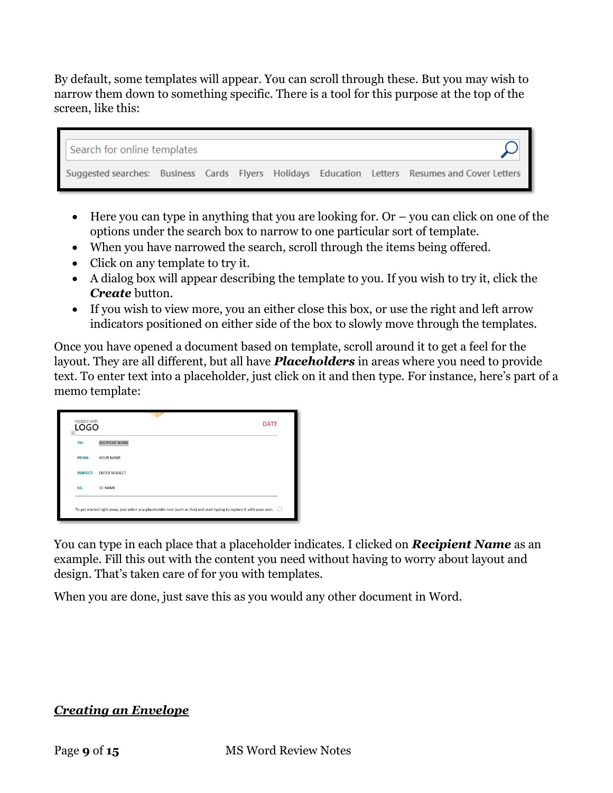By default, some templates will appear. You can scroll through these. But you may wish to narrow them down to something specific. There is a tool for this purpose at the top of the screen, like this:



- Here you can type in anything that you are looking for. Or  $-$  you can click on one of the options under the search box to narrow to one particular sort of template.
- When you have narrowed the search, scroll through the items being offered.
- Click on any template to try it.
- A dialog box will appear describing the template to you. If you wish to try it, click the *Create* button.
- If you wish to view more, you an either close this box, or use the right and left arrow indicators positioned on either side of the box to slowly move through the templates.

Once you have opened a document based on template, scroll around it to get a feel for the layout. They are all different, but all have *Placeholders* in areas where you need to provide text. To enter text into a placeholder, just click on it and then type. For instance, here's part of a memo template:

| TO:             | <b>RECIPIENT NAME</b> |
|-----------------|-----------------------|
| <b>FROM:</b>    | YOUR NAME             |
| <b>SUBJECT:</b> | <b>ENTER SUBJECT</b>  |
| CC:             | CC NAME               |

You can type in each place that a placeholder indicates. I clicked on *Recipient Name* as an example. Fill this out with the content you need without having to worry about layout and design. That's taken care of for you with templates.

When you are done, just save this as you would any other document in Word.

### <span id="page-8-0"></span>*Creating an Envelope*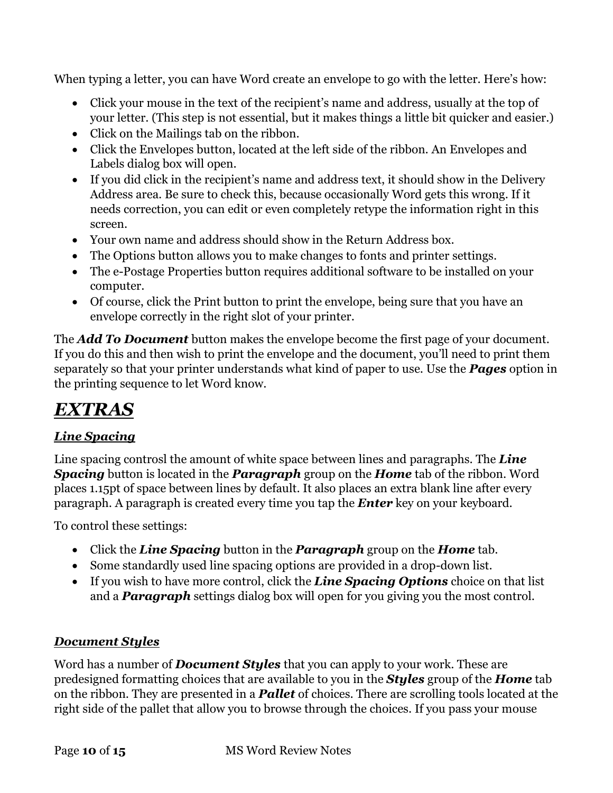When typing a letter, you can have Word create an envelope to go with the letter. Here's how:

- Click your mouse in the text of the recipient's name and address, usually at the top of your letter. (This step is not essential, but it makes things a little bit quicker and easier.)
- Click on the Mailings tab on the ribbon.
- Click the Envelopes button, located at the left side of the ribbon. An Envelopes and Labels dialog box will open.
- If you did click in the recipient's name and address text, it should show in the Delivery Address area. Be sure to check this, because occasionally Word gets this wrong. If it needs correction, you can edit or even completely retype the information right in this screen.
- Your own name and address should show in the Return Address box.
- The Options button allows you to make changes to fonts and printer settings.
- The e-Postage Properties button requires additional software to be installed on your computer.
- Of course, click the Print button to print the envelope, being sure that you have an envelope correctly in the right slot of your printer.

The *Add To Document* button makes the envelope become the first page of your document. If you do this and then wish to print the envelope and the document, you'll need to print them separately so that your printer understands what kind of paper to use. Use the *Pages* option in the printing sequence to let Word know.

# <span id="page-9-0"></span>*EXTRAS*

# <span id="page-9-1"></span>*Line Spacing*

Line spacing controsl the amount of white space between lines and paragraphs. The *Line Spacing* button is located in the *Paragraph* group on the *Home* tab of the ribbon. Word places 1.15pt of space between lines by default. It also places an extra blank line after every paragraph. A paragraph is created every time you tap the *Enter* key on your keyboard.

To control these settings:

- Click the *Line Spacing* button in the *Paragraph* group on the *Home* tab.
- Some standardly used line spacing options are provided in a drop-down list.
- If you wish to have more control, click the *Line Spacing Options* choice on that list and a *Paragraph* settings dialog box will open for you giving you the most control.

# <span id="page-9-2"></span>*Document Styles*

Word has a number of *Document Styles* that you can apply to your work. These are predesigned formatting choices that are available to you in the *Styles* group of the *Home* tab on the ribbon. They are presented in a *Pallet* of choices. There are scrolling tools located at the right side of the pallet that allow you to browse through the choices. If you pass your mouse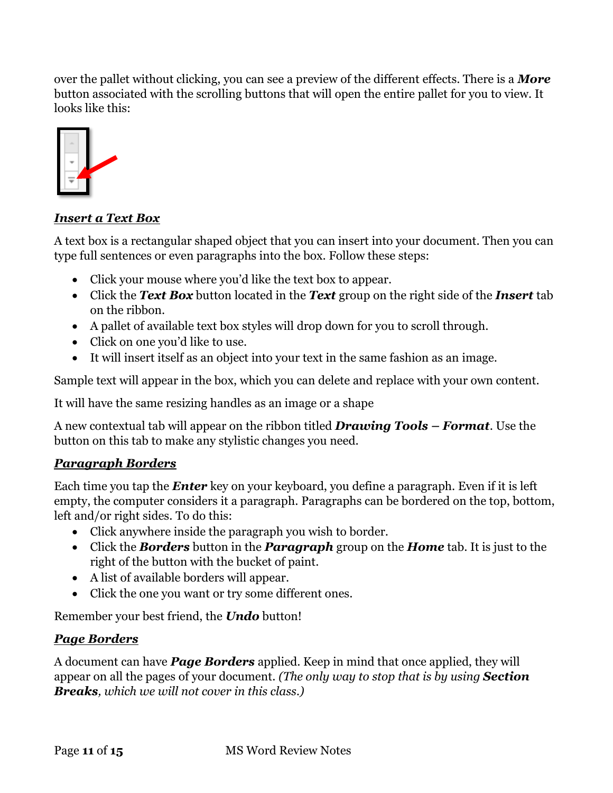over the pallet without clicking, you can see a preview of the different effects. There is a *More* button associated with the scrolling buttons that will open the entire pallet for you to view. It looks like this:



### <span id="page-10-0"></span>*Insert a Text Box*

A text box is a rectangular shaped object that you can insert into your document. Then you can type full sentences or even paragraphs into the box. Follow these steps:

- Click your mouse where you'd like the text box to appear.
- Click the *Text Box* button located in the *Text* group on the right side of the *Insert* tab on the ribbon.
- A pallet of available text box styles will drop down for you to scroll through.
- Click on one you'd like to use.
- It will insert itself as an object into your text in the same fashion as an image.

Sample text will appear in the box, which you can delete and replace with your own content.

It will have the same resizing handles as an image or a shape

A new contextual tab will appear on the ribbon titled *Drawing Tools – Format*. Use the button on this tab to make any stylistic changes you need.

# <span id="page-10-1"></span>*Paragraph Borders*

Each time you tap the *Enter* key on your keyboard, you define a paragraph. Even if it is left empty, the computer considers it a paragraph. Paragraphs can be bordered on the top, bottom, left and/or right sides. To do this:

- Click anywhere inside the paragraph you wish to border.
- Click the *Borders* button in the *Paragraph* group on the *Home* tab. It is just to the right of the button with the bucket of paint.
- A list of available borders will appear.
- Click the one you want or try some different ones.

Remember your best friend, the *Undo* button!

# <span id="page-10-2"></span>*Page Borders*

A document can have *Page Borders* applied. Keep in mind that once applied, they will appear on all the pages of your document. *(The only way to stop that is by using Section Breaks, which we will not cover in this class.)*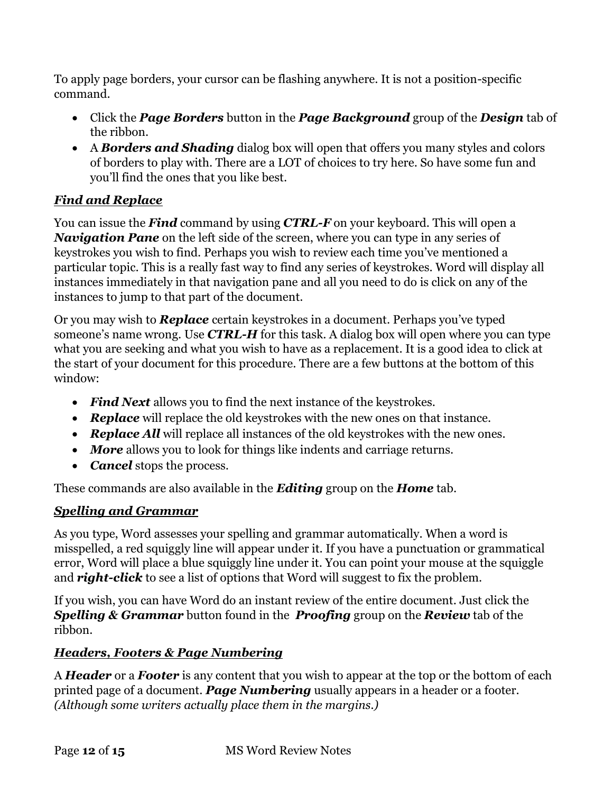To apply page borders, your cursor can be flashing anywhere. It is not a position-specific command.

- Click the *Page Borders* button in the *Page Background* group of the *Design* tab of the ribbon.
- A *Borders and Shading* dialog box will open that offers you many styles and colors of borders to play with. There are a LOT of choices to try here. So have some fun and you'll find the ones that you like best.

# <span id="page-11-0"></span>*Find and Replace*

You can issue the *Find* command by using *CTRL-F* on your keyboard. This will open a *Navigation Pane* on the left side of the screen, where you can type in any series of keystrokes you wish to find. Perhaps you wish to review each time you've mentioned a particular topic. This is a really fast way to find any series of keystrokes. Word will display all instances immediately in that navigation pane and all you need to do is click on any of the instances to jump to that part of the document.

Or you may wish to *Replace* certain keystrokes in a document. Perhaps you've typed someone's name wrong. Use *CTRL-H* for this task. A dialog box will open where you can type what you are seeking and what you wish to have as a replacement. It is a good idea to click at the start of your document for this procedure. There are a few buttons at the bottom of this window:

- *Find Next* allows you to find the next instance of the keystrokes.
- *Replace* will replace the old keystrokes with the new ones on that instance.
- **Replace All** will replace all instances of the old keystrokes with the new ones.
- *More* allows you to look for things like indents and carriage returns.
- *Cancel* stops the process.

These commands are also available in the *Editing* group on the *Home* tab.

# <span id="page-11-1"></span>*Spelling and Grammar*

As you type, Word assesses your spelling and grammar automatically. When a word is misspelled, a red squiggly line will appear under it. If you have a punctuation or grammatical error, Word will place a blue squiggly line under it. You can point your mouse at the squiggle and *right-click* to see a list of options that Word will suggest to fix the problem.

If you wish, you can have Word do an instant review of the entire document. Just click the *Spelling & Grammar* button found in the *Proofing* group on the *Review* tab of the ribbon.

# <span id="page-11-2"></span>*Headers, Footers & Page Numbering*

A *Header* or a *Footer* is any content that you wish to appear at the top or the bottom of each printed page of a document. *Page Numbering* usually appears in a header or a footer. *(Although some writers actually place them in the margins.)*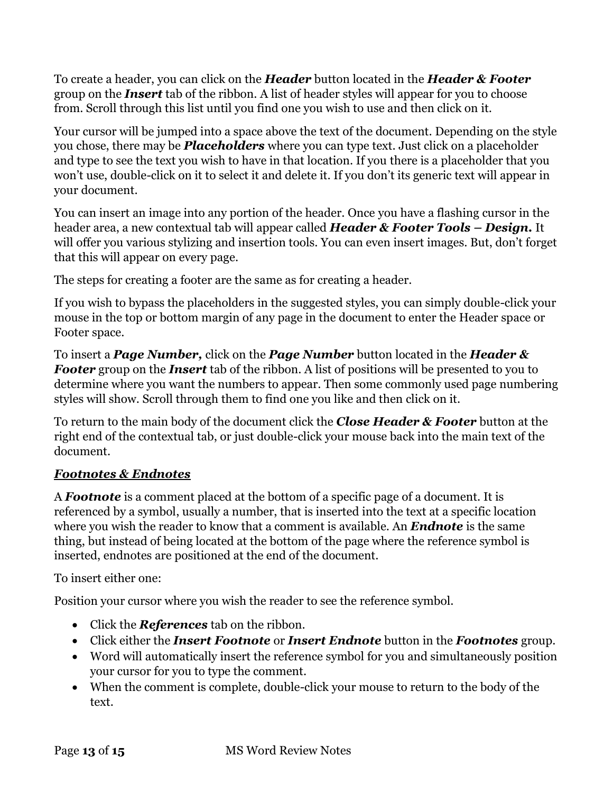To create a header, you can click on the *Header* button located in the *Header & Footer* group on the *Insert* tab of the ribbon. A list of header styles will appear for you to choose from. Scroll through this list until you find one you wish to use and then click on it.

Your cursor will be jumped into a space above the text of the document. Depending on the style you chose, there may be *Placeholders* where you can type text. Just click on a placeholder and type to see the text you wish to have in that location. If you there is a placeholder that you won't use, double-click on it to select it and delete it. If you don't its generic text will appear in your document.

You can insert an image into any portion of the header. Once you have a flashing cursor in the header area, a new contextual tab will appear called *Header & Footer Tools – Design.* It will offer you various stylizing and insertion tools. You can even insert images. But, don't forget that this will appear on every page.

The steps for creating a footer are the same as for creating a header.

If you wish to bypass the placeholders in the suggested styles, you can simply double-click your mouse in the top or bottom margin of any page in the document to enter the Header space or Footer space.

To insert a *Page Number,* click on the *Page Number* button located in the *Header & Footer* group on the *Insert* tab of the ribbon. A list of positions will be presented to you to determine where you want the numbers to appear. Then some commonly used page numbering styles will show. Scroll through them to find one you like and then click on it.

To return to the main body of the document click the *Close Header & Footer* button at the right end of the contextual tab, or just double-click your mouse back into the main text of the document.

# <span id="page-12-0"></span>*Footnotes & Endnotes*

A *Footnote* is a comment placed at the bottom of a specific page of a document. It is referenced by a symbol, usually a number, that is inserted into the text at a specific location where you wish the reader to know that a comment is available. An *Endnote* is the same thing, but instead of being located at the bottom of the page where the reference symbol is inserted, endnotes are positioned at the end of the document.

To insert either one:

Position your cursor where you wish the reader to see the reference symbol.

- Click the *References* tab on the ribbon.
- Click either the *Insert Footnote* or *Insert Endnote* button in the *Footnotes* group.
- Word will automatically insert the reference symbol for you and simultaneously position your cursor for you to type the comment.
- When the comment is complete, double-click your mouse to return to the body of the text.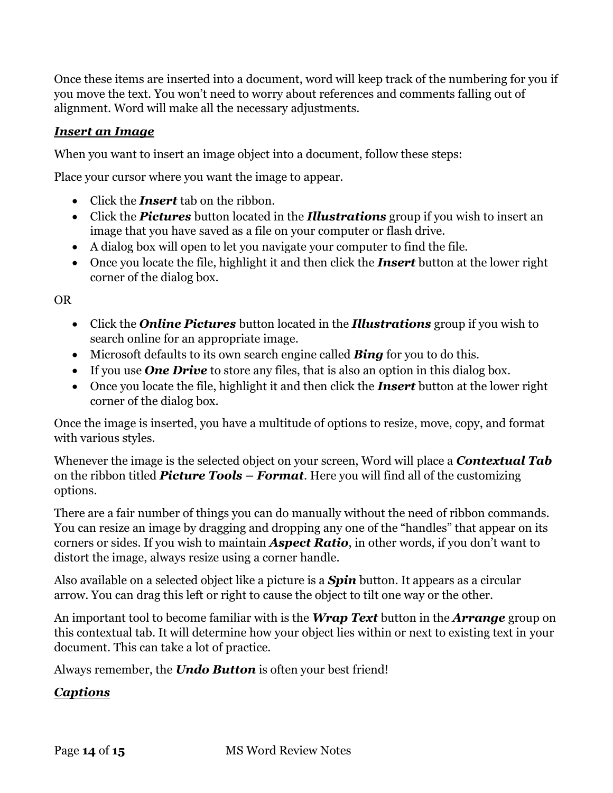Once these items are inserted into a document, word will keep track of the numbering for you if you move the text. You won't need to worry about references and comments falling out of alignment. Word will make all the necessary adjustments.

### <span id="page-13-0"></span>*Insert an Image*

When you want to insert an image object into a document, follow these steps:

Place your cursor where you want the image to appear.

- Click the *Insert* tab on the ribbon.
- Click the *Pictures* button located in the *Illustrations* group if you wish to insert an image that you have saved as a file on your computer or flash drive.
- A dialog box will open to let you navigate your computer to find the file.
- Once you locate the file, highlight it and then click the *Insert* button at the lower right corner of the dialog box.

OR

- Click the *Online Pictures* button located in the *Illustrations* group if you wish to search online for an appropriate image.
- Microsoft defaults to its own search engine called *Bing* for you to do this.
- If you use **One Drive** to store any files, that is also an option in this dialog box.
- Once you locate the file, highlight it and then click the *Insert* button at the lower right corner of the dialog box.

Once the image is inserted, you have a multitude of options to resize, move, copy, and format with various styles.

Whenever the image is the selected object on your screen, Word will place a *Contextual Tab* on the ribbon titled *Picture Tools – Format*. Here you will find all of the customizing options.

There are a fair number of things you can do manually without the need of ribbon commands. You can resize an image by dragging and dropping any one of the "handles" that appear on its corners or sides. If you wish to maintain *Aspect Ratio*, in other words, if you don't want to distort the image, always resize using a corner handle.

Also available on a selected object like a picture is a *Spin* button. It appears as a circular arrow. You can drag this left or right to cause the object to tilt one way or the other.

An important tool to become familiar with is the *Wrap Text* button in the *Arrange* group on this contextual tab. It will determine how your object lies within or next to existing text in your document. This can take a lot of practice.

Always remember, the *Undo Button* is often your best friend!

### <span id="page-13-1"></span>*Captions*